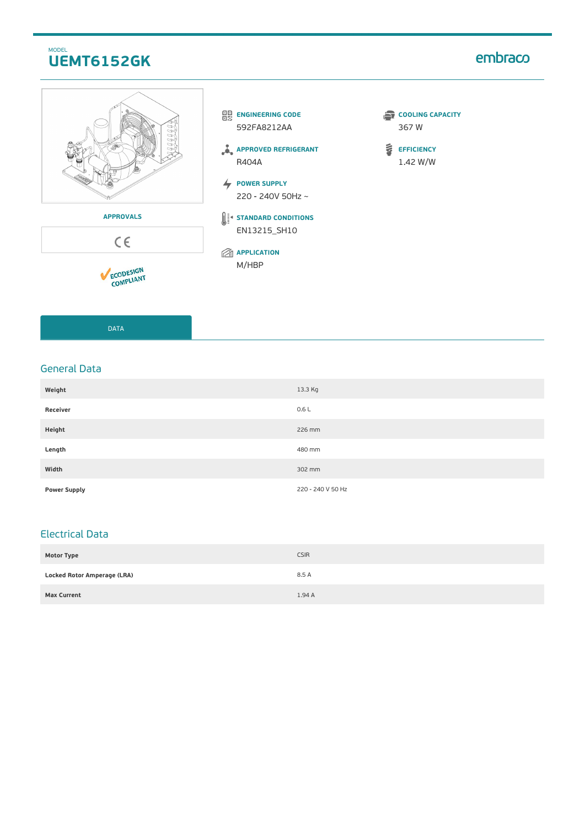## MODEL **UEMT6152GK**

# embraco







 $C \in$ 

ECODESIGN



**APPROVED REFRIGERANT** R404A

**POWER SUPPLY** 220 - 240V 50Hz ~

**STANDARD CONDITIONS** EN13215\_SH10

**APPLICATION** M/HBP

**COOLING CAPACITY** 367 W

 $\tilde{\mathbf{s}}$ **EFFICIENCY** 1.42 W/W

DATA

### General Data

| Weight              | 13.3 Kg           |
|---------------------|-------------------|
| Receiver            | 0.6L              |
| Height              | 226 mm            |
| Length              | 480 mm            |
| Width               | 302 mm            |
| <b>Power Supply</b> | 220 - 240 V 50 Hz |

## Electrical Data

| <b>Motor Type</b>                  | <b>CSIR</b> |
|------------------------------------|-------------|
| <b>Locked Rotor Amperage (LRA)</b> | 8.5 A       |
| <b>Max Current</b>                 | 1.94A       |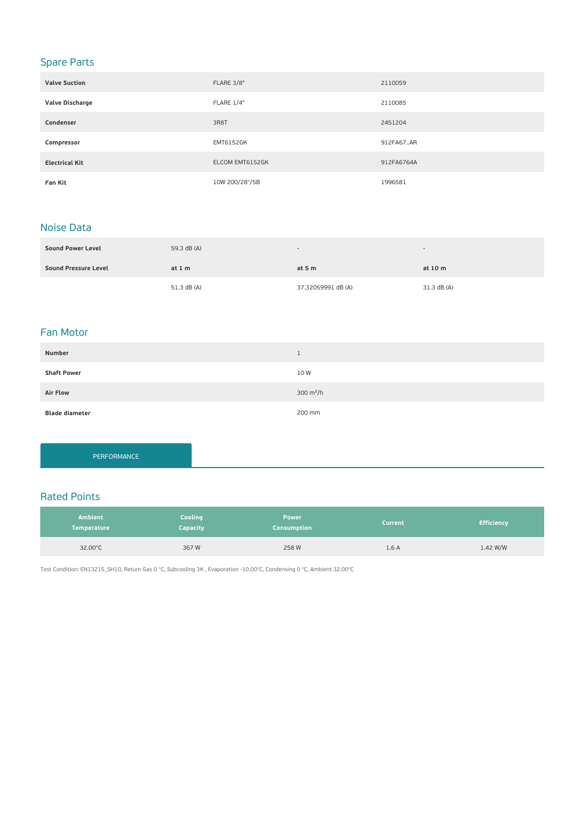# Spare Parts

| <b>Valve Suction</b>  | FLARE 3/8"       | 2110059    |
|-----------------------|------------------|------------|
| Valve Discharge       | FLARE 1/4"       | 2110085    |
| Condenser             | 3R8T             | 2451204    |
| Compressor            | <b>EMT6152GK</b> | 912FA67AR  |
| <b>Electrical Kit</b> | ELCOM EMT6152GK  | 912FA6764A |
| Fan Kit               | 10W 200/28°/5B   | 1996581    |

### Noise Data

| <b>Sound Power Level</b> | 59.3 dB (A) | $\overline{\phantom{a}}$ |             |
|--------------------------|-------------|--------------------------|-------------|
| Sound Pressure Level     | at $1m$     | at $5m$                  | at 10 m     |
|                          | 51.3 dB (A) | 37.32059991 dB (A)       | 31.3 dB (A) |

### Fan Motor

| Number                | <b>J</b>    |
|-----------------------|-------------|
| <b>Shaft Power</b>    | 10 W        |
| <b>Air Flow</b>       | 300 $m^3/h$ |
| <b>Blade diameter</b> | 200 mm      |

PERFORMANCE

### Rated Points

| <b>Ambient</b><br><b>Temperature</b> | Cooling<br><b>Capacity</b> | <b>Power</b><br>Consumption | <b>Current</b> | <b>Efficiency</b> |
|--------------------------------------|----------------------------|-----------------------------|----------------|-------------------|
| 32.00°C                              | 367W                       | 258 W                       | 1.6A           | 1.42 W/W          |

Test Condition: EN13215\_SH10, Return Gas 0 °C, Subcooling 3K , Evaporation -10.00°C, Condensing 0 °C, Ambient 32.00°C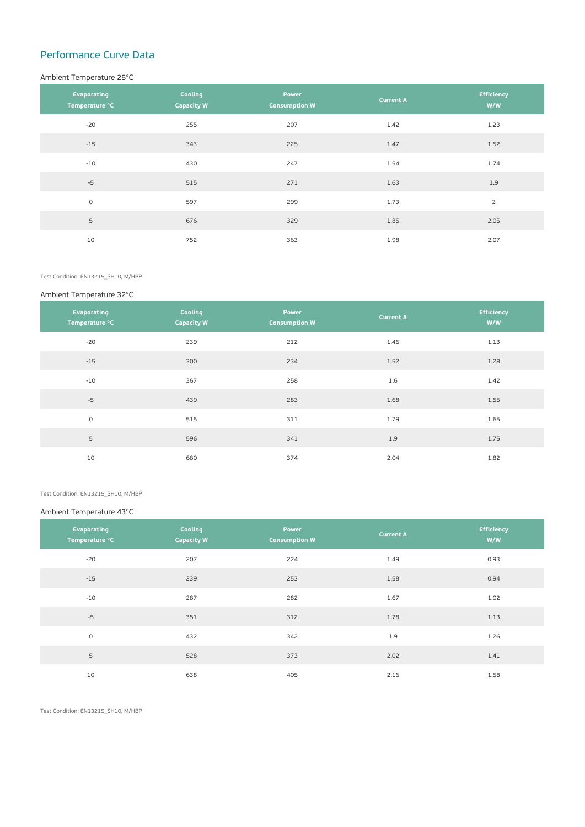# Performance Curve Data

#### Ambient Temperature 25°C

| Evaporating<br>Temperature °C | Cooling<br><b>Capacity W</b> | Power<br><b>Consumption W</b> | <b>Current A</b> | <b>Efficiency</b><br>W/W |
|-------------------------------|------------------------------|-------------------------------|------------------|--------------------------|
| $-20$                         | 255                          | 207                           | 1.42             | 1.23                     |
| $-15$                         | 343                          | 225                           | 1.47             | 1.52                     |
| $-10$                         | 430                          | 247                           | 1.54             | 1.74                     |
| $-5$                          | 515                          | 271                           | 1.63             | 1.9                      |
| $\circ$                       | 597                          | 299                           | 1.73             | $\overline{c}$           |
| 5                             | 676                          | 329                           | 1.85             | 2.05                     |
| 10                            | 752                          | 363                           | 1.98             | 2.07                     |

Test Condition: EN13215\_SH10, M/HBP

#### Ambient Temperature 32°C

| Evaporating<br>Temperature °C | Cooling<br><b>Capacity W</b> | Power<br><b>Consumption W</b> | <b>Current A</b> | <b>Efficiency</b><br>W/W |
|-------------------------------|------------------------------|-------------------------------|------------------|--------------------------|
| $-20$                         | 239                          | 212                           | 1.46             | 1.13                     |
| $-15$                         | 300                          | 234                           | 1.52             | 1.28                     |
| $-10$                         | 367                          | 258                           | 1.6              | 1.42                     |
| $-5$                          | 439                          | 283                           | 1.68             | 1.55                     |
| $\circ$                       | 515                          | 311                           | 1.79             | 1.65                     |
| 5                             | 596                          | 341                           | 1.9              | 1.75                     |
| 10                            | 680                          | 374                           | 2.04             | 1.82                     |

Test Condition: EN13215\_SH10, M/HBP

#### Ambient Temperature 43°C

| Evaporating<br>Temperature °C | Cooling<br><b>Capacity W</b> | Power<br><b>Consumption W</b> | <b>Current A</b> | <b>Efficiency</b><br>W/W |
|-------------------------------|------------------------------|-------------------------------|------------------|--------------------------|
| $-20$                         | 207                          | 224                           | 1.49             | 0.93                     |
| $-15$                         | 239                          | 253                           | 1.58             | 0.94                     |
| $-10$                         | 287                          | 282                           | 1.67             | 1.02                     |
| $-5$                          | 351                          | 312                           | 1.78             | 1.13                     |
| $\circ$                       | 432                          | 342                           | 1.9              | 1.26                     |
| 5                             | 528                          | 373                           | 2.02             | 1.41                     |
| 10                            | 638                          | 405                           | 2.16             | 1.58                     |

Test Condition: EN13215\_SH10, M/HBP